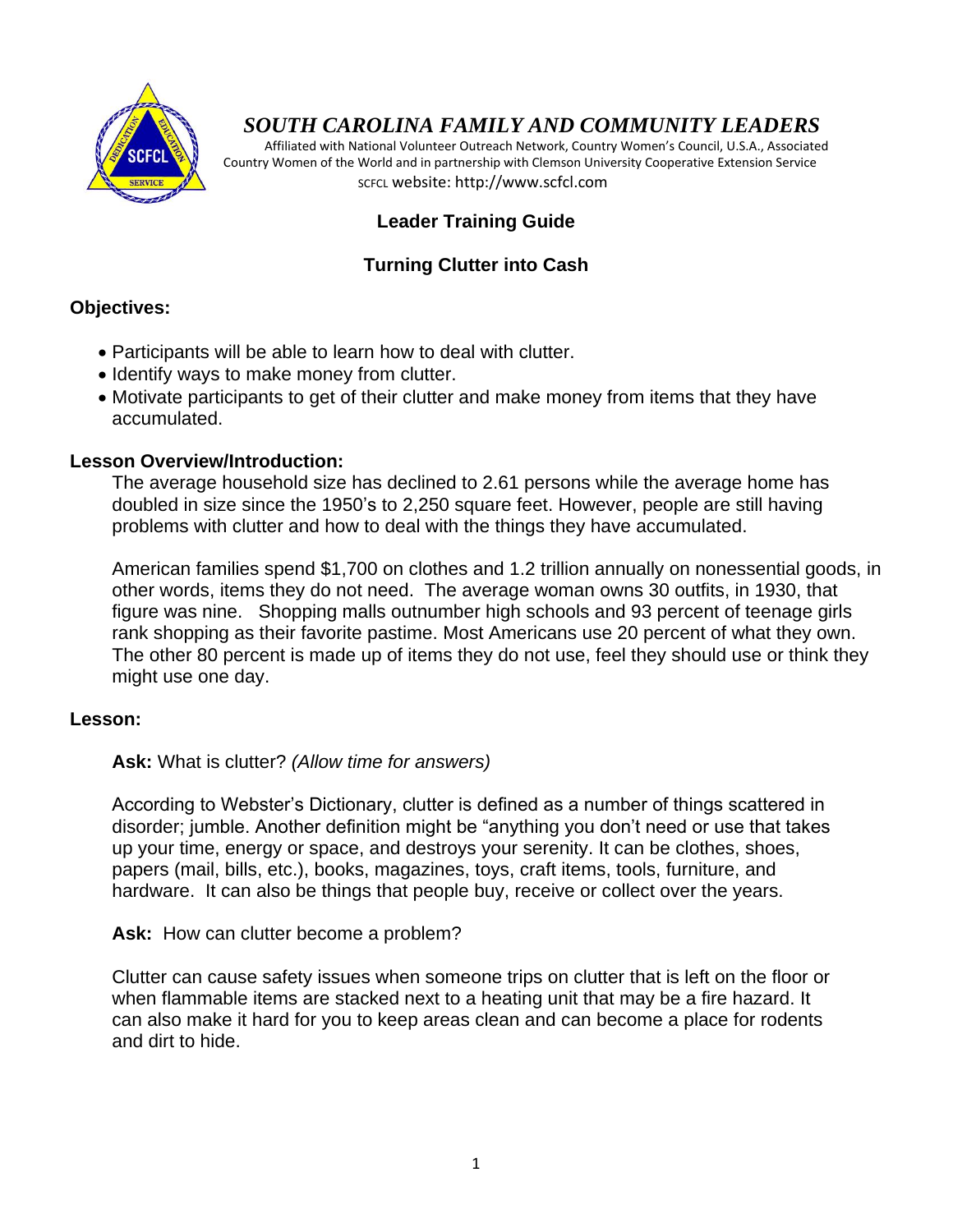

# *SOUTH CAROLINA FAMILY AND COMMUNITY LEADERS*

 Affiliated with National Volunteer Outreach Network, Country Women's Council, U.S.A., Associated Country Women of the World and in partnership with Clemson University Cooperative Extension Service SCFCL website: http://www.scfcl.com

## **Leader Training Guide**

## **Turning Clutter into Cash**

## **Objectives:**

- Participants will be able to learn how to deal with clutter.
- Identify ways to make money from clutter.
- Motivate participants to get of their clutter and make money from items that they have accumulated.

## **Lesson Overview/Introduction:**

The average household size has declined to 2.61 persons while the average home has doubled in size since the 1950's to 2,250 square feet. However, people are still having problems with clutter and how to deal with the things they have accumulated.

American families spend \$1,700 on clothes and 1.2 trillion annually on nonessential goods, in other words, items they do not need. The average woman owns 30 outfits, in 1930, that figure was nine. Shopping malls outnumber high schools and 93 percent of teenage girls rank shopping as their favorite pastime. Most Americans use 20 percent of what they own. The other 80 percent is made up of items they do not use, feel they should use or think they might use one day.

### **Lesson:**

**Ask:** What is clutter? *(Allow time for answers)*

According to Webster's Dictionary, clutter is defined as a number of things scattered in disorder; jumble. Another definition might be "anything you don't need or use that takes up your time, energy or space, and destroys your serenity. It can be clothes, shoes, papers (mail, bills, etc.), books, magazines, toys, craft items, tools, furniture, and hardware. It can also be things that people buy, receive or collect over the years.

**Ask:** How can clutter become a problem?

Clutter can cause safety issues when someone trips on clutter that is left on the floor or when flammable items are stacked next to a heating unit that may be a fire hazard. It can also make it hard for you to keep areas clean and can become a place for rodents and dirt to hide.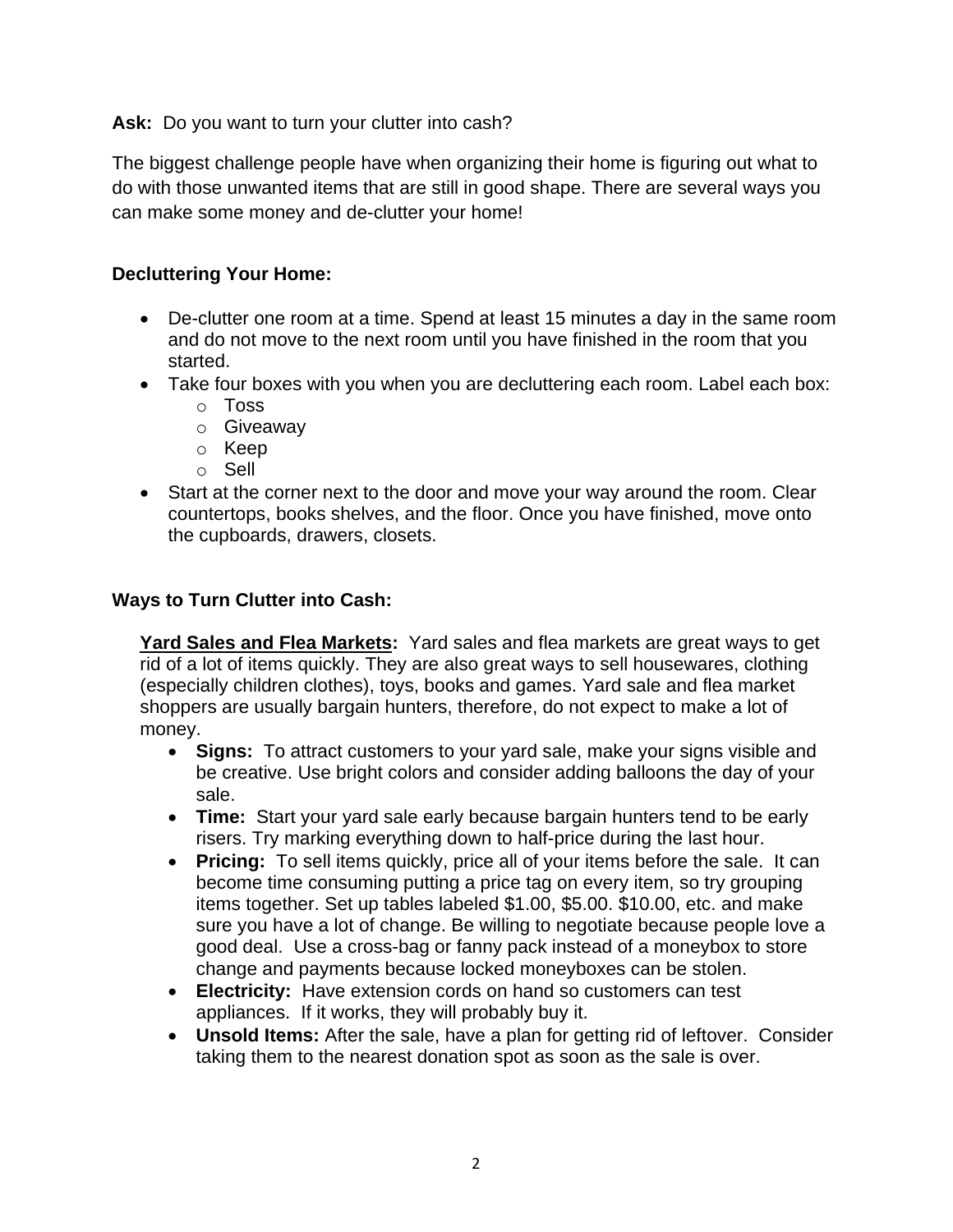Ask: Do you want to turn your clutter into cash?

The biggest challenge people have when organizing their home is figuring out what to do with those unwanted items that are still in good shape. There are several ways you can make some money and de-clutter your home!

## **Decluttering Your Home:**

- De-clutter one room at a time. Spend at least 15 minutes a day in the same room and do not move to the next room until you have finished in the room that you started.
- Take four boxes with you when you are decluttering each room. Label each box:
	- o Toss
	- o Giveaway
	- o Keep
	- o Sell
- Start at the corner next to the door and move your way around the room. Clear countertops, books shelves, and the floor. Once you have finished, move onto the cupboards, drawers, closets.

## **Ways to Turn Clutter into Cash:**

**Yard Sales and Flea Markets:** Yard sales and flea markets are great ways to get rid of a lot of items quickly. They are also great ways to sell housewares, clothing (especially children clothes), toys, books and games. Yard sale and flea market shoppers are usually bargain hunters, therefore, do not expect to make a lot of money.

- **Signs:** To attract customers to your yard sale, make your signs visible and be creative. Use bright colors and consider adding balloons the day of your sale.
- **Time:** Start your yard sale early because bargain hunters tend to be early risers. Try marking everything down to half-price during the last hour.
- **Pricing:** To sell items quickly, price all of your items before the sale. It can become time consuming putting a price tag on every item, so try grouping items together. Set up tables labeled \$1.00, \$5.00. \$10.00, etc. and make sure you have a lot of change. Be willing to negotiate because people love a good deal. Use a cross-bag or fanny pack instead of a moneybox to store change and payments because locked moneyboxes can be stolen.
- **Electricity:** Have extension cords on hand so customers can test appliances. If it works, they will probably buy it.
- **Unsold Items:** After the sale, have a plan for getting rid of leftover. Consider taking them to the nearest donation spot as soon as the sale is over.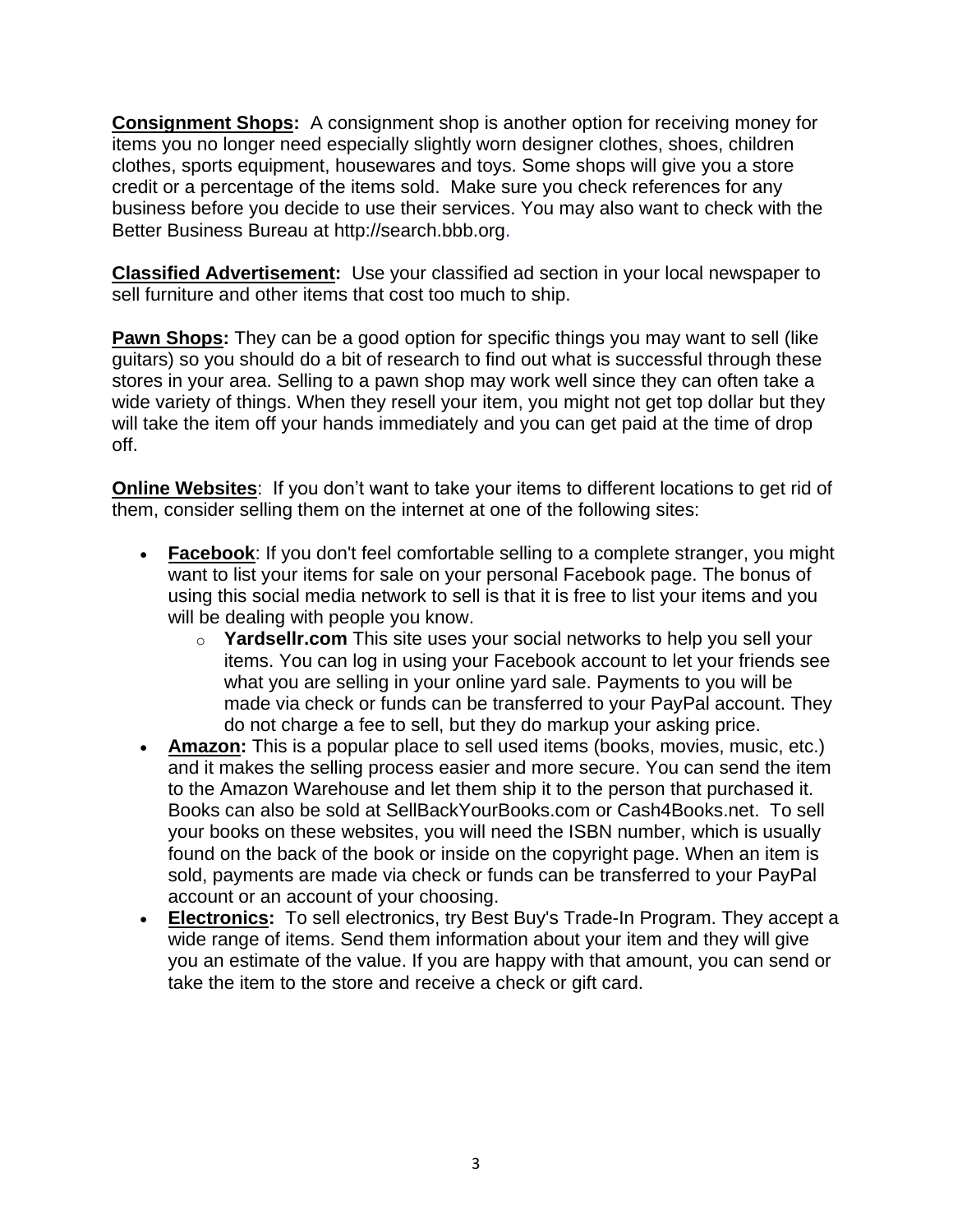**Consignment Shops:** A consignment shop is another option for receiving money for items you no longer need especially slightly worn designer clothes, shoes, children clothes, sports equipment, housewares and toys. Some shops will give you a store credit or a percentage of the items sold. Make sure you check references for any business before you decide to use their services. You may also want to check with the Better Business Bureau at [http://search.bbb.org.](http://search.bbb.org/)

**Classified Advertisement:** Use your classified ad section in your local newspaper to sell furniture and other items that cost too much to ship.

**Pawn Shops:** They can be a good option for specific things you may want to sell (like guitars) so you should do a bit of research to find out what is successful through these stores in your area. Selling to a [pawn shop](http://www.bankrate.com/finance/personal-finance/pawnshop-101-what-you-need-to-know-1.aspx) may work well since they can often take a wide variety of things. When they resell your item, you might not get top dollar but they will take the item off your hands immediately and you can get paid at the time of drop off.

**Online Websites:** If you don't want to take your items to different locations to get rid of them, consider selling them on the internet at one of the following sites:

- **[Facebook](http://www.facebook.com/)**: If you don't feel comfortable selling to a complete stranger, you might want to list your items for sale on your personal Facebook page. The bonus of using this social media network to sell is that it is free to list your items and you will be dealing with people you know.
	- o **[Yardsellr.com](http://yardsellr.com/)** This site uses your social networks to help you sell your items. You can log in using your Facebook account to let your friends see what you are selling in your online yard sale. Payments to you will be made via check or funds can be transferred to your PayPal account. They do not charge a fee to sell, but they do markup your asking price.
- **[Amazon:](http://www.amazon.com/)** This is a popular place to sell used items (books, movies, music, etc.) and it makes the selling process easier and more secure. You can send the item to the Amazon Warehouse and let them ship it to the person that purchased it. Books can also be sold at [SellBackYourBooks.com](http://sellbackyourbooks.com/) or [Cash4Books.net.](http://cash4books.net/) To sell your books on these websites, you will need the ISBN number, which is usually found on the back of the book or inside on the copyright page. When an item is sold, payments are made via check or funds can be transferred to your PayPal account or an account of your choosing.
- **Electronics:** To sell electronics, try Best Buy's Trade-In Program. They accept a wide range of items. Send them information about your item and they will give you an estimate of the value. If you are happy with that amount, you can send or take the item to the store and receive a check or gift card.